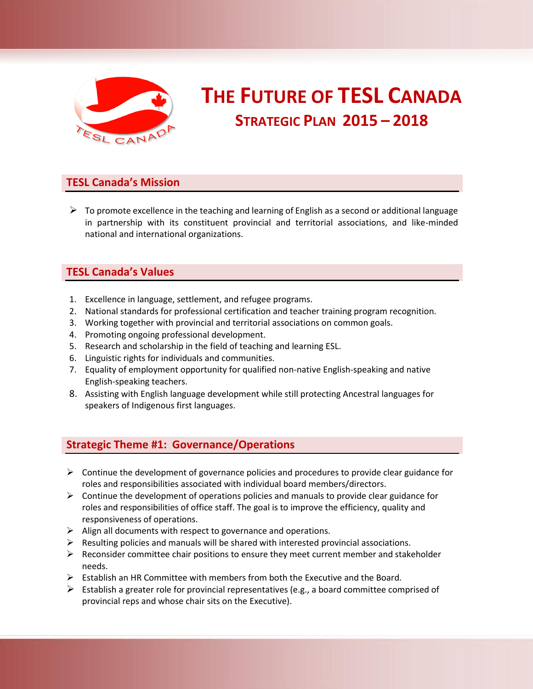

# **THE FUTURE OF TESL CANADA STRATEGIC PLAN 2015 – 2018**

## **TESL Canada's Mission**

 $\triangleright$  To promote excellence in the teaching and learning of English as a second or additional language in partnership with its constituent provincial and territorial associations, and like-minded national and international organizations.

## **TESL Canada's Values**

- 1. Excellence in language, settlement, and refugee programs.
- 2. National standards for professional certification and teacher training program recognition.
- 3. Working together with provincial and territorial associations on common goals.
- 4. Promoting ongoing professional development.
- 5. Research and scholarship in the field of teaching and learning ESL.
- 6. Linguistic rights for individuals and communities.
- 7. Equality of employment opportunity for qualified non-native English-speaking and native English-speaking teachers.
- 8. Assisting with English language development while still protecting Ancestral languages for speakers of Indigenous first languages.

# **Strategic Theme #1: Governance/Operations**

- $\triangleright$  Continue the development of governance policies and procedures to provide clear guidance for roles and responsibilities associated with individual board members/directors.
- $\triangleright$  Continue the development of operations policies and manuals to provide clear guidance for roles and responsibilities of office staff. The goal is to improve the efficiency, quality and responsiveness of operations.
- $\triangleright$  Align all documents with respect to governance and operations.
- $\triangleright$  Resulting policies and manuals will be shared with interested provincial associations.
- $\triangleright$  Reconsider committee chair positions to ensure they meet current member and stakeholder needs.
- $\triangleright$  Establish an HR Committee with members from both the Executive and the Board.
- $\triangleright$  Establish a greater role for provincial representatives (e.g., a board committee comprised of provincial reps and whose chair sits on the Executive).